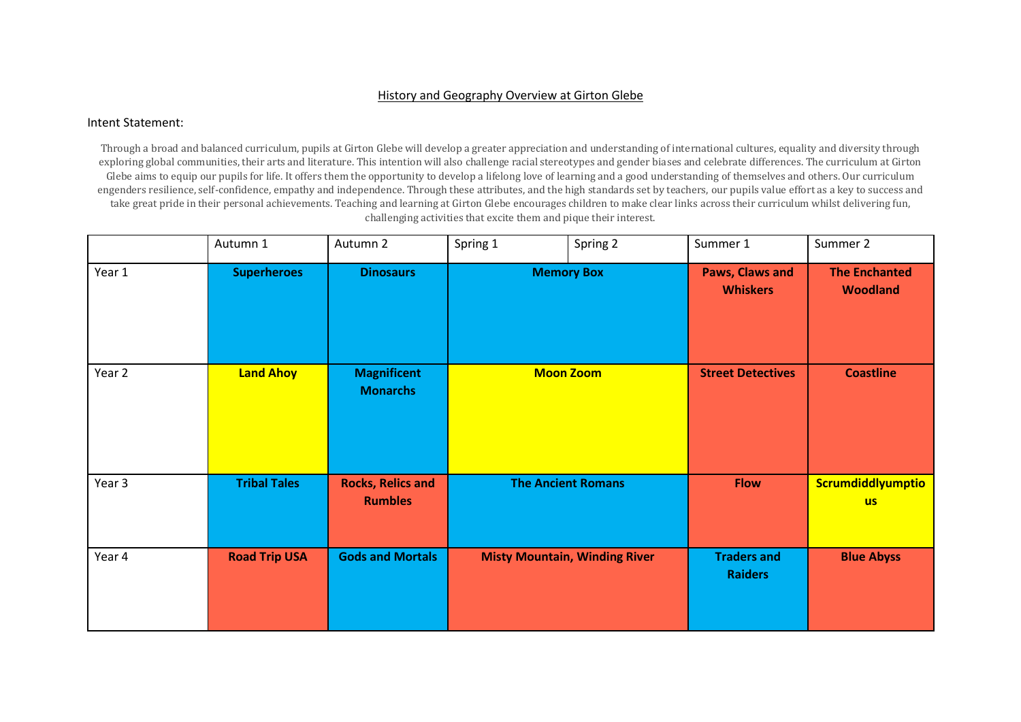## History and Geography Overview at Girton Glebe

## Intent Statement:

Through a broad and balanced curriculum, pupils at Girton Glebe will develop a greater appreciation and understanding of international cultures, equality and diversity through exploring global communities, their arts and literature. This intention will also challenge racial stereotypes and gender biases and celebrate differences. The curriculum at Girton Glebe aims to equip our pupils for life. It offers them the opportunity to develop a lifelong love of learning and a good understanding of themselves and others. Our curriculum engenders resilience, self-confidence, empathy and independence. Through these attributes, and the high standards set by teachers, our pupils value effort as a key to success and take great pride in their personal achievements. Teaching and learning at Girton Glebe encourages children to make clear links across their curriculum whilst delivering fun, challenging activities that excite them and pique their interest.

|        | Autumn 1             | Autumn 2                                   | Spring 1                  | Spring 2                             | Summer 1                                  | Summer 2                                |
|--------|----------------------|--------------------------------------------|---------------------------|--------------------------------------|-------------------------------------------|-----------------------------------------|
| Year 1 | <b>Superheroes</b>   | <b>Dinosaurs</b>                           | <b>Memory Box</b>         |                                      | <b>Paws, Claws and</b><br><b>Whiskers</b> | <b>The Enchanted</b><br><b>Woodland</b> |
| Year 2 | <b>Land Ahoy</b>     | <b>Magnificent</b><br><b>Monarchs</b>      | <b>Moon Zoom</b>          |                                      | <b>Street Detectives</b>                  | <b>Coastline</b>                        |
| Year 3 | <b>Tribal Tales</b>  | <b>Rocks, Relics and</b><br><b>Rumbles</b> | <b>The Ancient Romans</b> |                                      | <b>Flow</b>                               | Scrumdiddlyumptio<br><b>us</b>          |
| Year 4 | <b>Road Trip USA</b> | <b>Gods and Mortals</b>                    |                           | <b>Misty Mountain, Winding River</b> | <b>Traders and</b><br><b>Raiders</b>      | <b>Blue Abyss</b>                       |